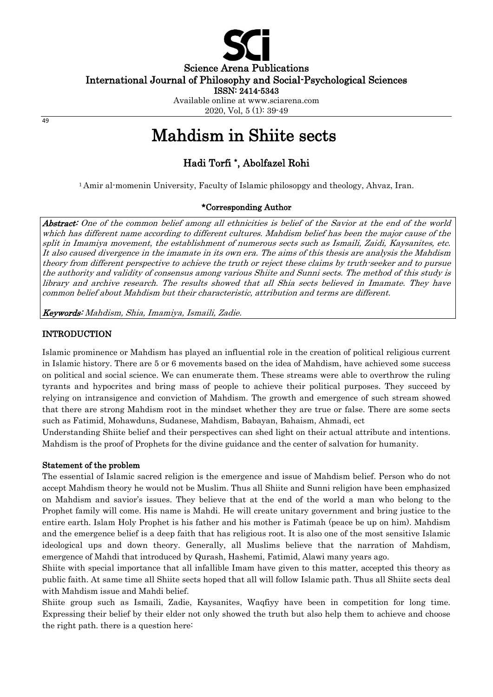

Science Arena Publications

International Journal of Philosophy and Social-Psychological Sciences

ISSN: 2414-5343

Available online at www.sciarena.com 2020, Vol, 5 (1): 39-49

#### 49

# Mahdism in Shiite sects

# Hadi Torfi \* , Abolfazel Rohi

<sup>1</sup>Amir al-momenin University, Faculty of Islamic philosopgy and theology, Ahvaz, Iran.

# \*Corresponding Author

Abstract: One of the common belief among all ethnicities is belief of the Savior at the end of the world which has different name according to different cultures. Mahdism belief has been the major cause of the split in Imamiya movement, the establishment of numerous sects such as Ismaili, Zaidi, Kaysanites, etc. It also caused divergence in the imamate in its own era. The aims of this thesis are analysis the Mahdism theory from different perspective to achieve the truth or reject these claims by truth-seeker and to pursue the authority and validity of consensus among various Shiite and Sunni sects. The method of this study is library and archive research. The results showed that all Shia sects believed in Imamate. They have common belief about Mahdism but their characteristic, attribution and terms are different.

Keywords: Mahdism, Shia, Imamiya, Ismaili, Zadie.

## **INTRODUCTION**

Islamic prominence or Mahdism has played an influential role in the creation of political religious current in Islamic history. There are 5 or 6 movements based on the idea of Mahdism, have achieved some success on political and social science. We can enumerate them. These streams were able to overthrow the ruling tyrants and hypocrites and bring mass of people to achieve their political purposes. They succeed by relying on intransigence and conviction of Mahdism. The growth and emergence of such stream showed that there are strong Mahdism root in the mindset whether they are true or false. There are some sects such as Fatimid, Mohawduns, Sudanese, Mahdism, Babayan, Bahaism, Ahmadi, ect

Understanding Shiite belief and their perspectives can shed light on their actual attribute and intentions. Mahdism is the proof of Prophets for the divine guidance and the center of salvation for humanity.

## Statement of the problem

The essential of Islamic sacred religion is the emergence and issue of Mahdism belief. Person who do not accept Mahdism theory he would not be Muslim. Thus all Shiite and Sunni religion have been emphasized on Mahdism and savior's issues. They believe that at the end of the world a man who belong to the Prophet family will come. His name is Mahdi. He will create unitary government and bring justice to the entire earth. Islam Holy Prophet is his father and his mother is Fatimah (peace be up on him). Mahdism and the emergence belief is a deep faith that has religious root. It is also one of the most sensitive Islamic ideological ups and down theory. Generally, all Muslims believe that the narration of Mahdism, emergence of Mahdi that introduced by Qurash, Hashemi, Fatimid, Alawi many years ago.

Shiite with special importance that all infallible Imam have given to this matter, accepted this theory as public faith. At same time all Shiite sects hoped that all will follow Islamic path. Thus all Shiite sects deal with Mahdism issue and Mahdi belief.

Shiite group such as Ismaili, Zadie, Kaysanites, Waqfiyy have been in competition for long time. Expressing their belief by their elder not only showed the truth but also help them to achieve and choose the right path. there is a question here: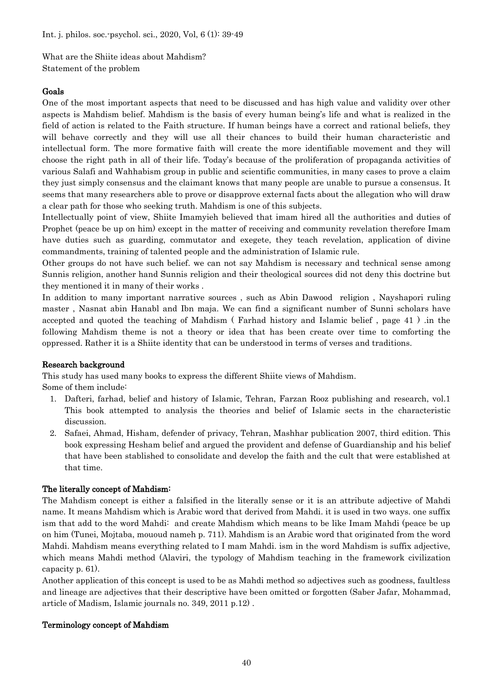What are the Shiite ideas about Mahdism? Statement of the problem

## Goals

One of the most important aspects that need to be discussed and has high value and validity over other aspects is Mahdism belief. Mahdism is the basis of every human being's life and what is realized in the field of action is related to the Faith structure. If human beings have a correct and rational beliefs, they will behave correctly and they will use all their chances to build their human characteristic and intellectual form. The more formative faith will create the more identifiable movement and they will choose the right path in all of their life. Today's because of the proliferation of propaganda activities of various Salafi and Wahhabism group in public and scientific communities, in many cases to prove a claim they just simply consensus and the claimant knows that many people are unable to pursue a consensus. It seems that many researchers able to prove or disapprove external facts about the allegation who will draw a clear path for those who seeking truth. Mahdism is one of this subjects.

Intellectually point of view, Shiite Imamyieh believed that imam hired all the authorities and duties of Prophet (peace be up on him) except in the matter of receiving and community revelation therefore Imam have duties such as guarding, commutator and exegete, they teach revelation, application of divine commandments, training of talented people and the administration of Islamic rule.

Other groups do not have such belief. we can not say Mahdism is necessary and technical sense among Sunnis religion, another hand Sunnis religion and their theological sources did not deny this doctrine but they mentioned it in many of their works .

In addition to many important narrative sources , such as Abin Dawood religion , Nayshapori ruling master , Nasnat abin Hanabl and Ibn maja. We can find a significant number of Sunni scholars have accepted and quoted the teaching of Mahdism ( Farhad history and Islamic belief , page 41 ) .in the following Mahdism theme is not a theory or idea that has been create over time to comforting the oppressed. Rather it is a Shiite identity that can be understood in terms of verses and traditions.

## Research background

This study has used many books to express the different Shiite views of Mahdism.

Some of them include:

- 1. Dafteri, farhad, belief and history of Islamic, Tehran, Farzan Rooz publishing and research, vol.1 This book attempted to analysis the theories and belief of Islamic sects in the characteristic discussion.
- 2. Safaei, Ahmad, Hisham, defender of privacy, Tehran, Mashhar publication 2007, third edition. This book expressing Hesham belief and argued the provident and defense of Guardianship and his belief that have been stablished to consolidate and develop the faith and the cult that were established at that time.

## The literally concept of Mahdism:

The Mahdism concept is either a falsified in the literally sense or it is an attribute adjective of Mahdi name. It means Mahdism which is Arabic word that derived from Mahdi. it is used in two ways. one suffix ism that add to the word Mahdi: and create Mahdism which means to be like Imam Mahdi (peace be up on him (Tunei, Mojtaba, mououd nameh p. 711). Mahdism is an Arabic word that originated from the word Mahdi. Mahdism means everything related to I mam Mahdi. ism in the word Mahdism is suffix adjective, which means Mahdi method (Alaviri, the typology of Mahdism teaching in the framework civilization capacity p. 61).

Another application of this concept is used to be as Mahdi method so adjectives such as goodness, faultless and lineage are adjectives that their descriptive have been omitted or forgotten (Saber Jafar, Mohammad, article of Madism, Islamic journals no. 349, 2011 p.12) .

## Terminology concept of Mahdism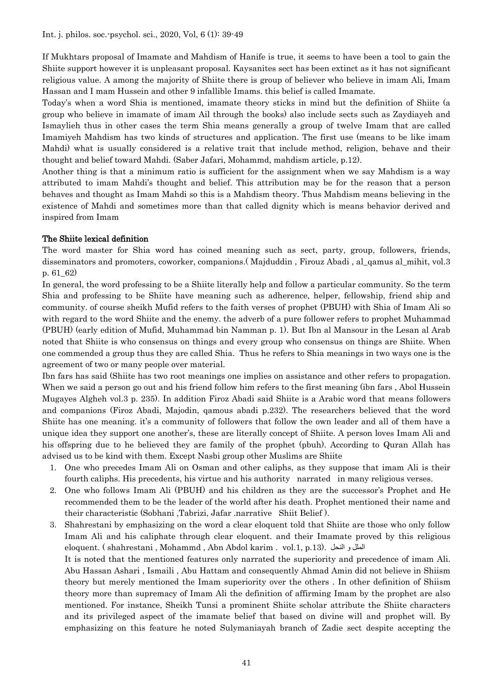If Mukhtars proposal of Imamate and Mahdism of Hanife is true, it seems to have been a tool to gain the Shiite support however it is unpleasant proposal. Kaysanites sect has been extinct as it has not significant religious value. A among the majority of Shiite there is group of believer who believe in imam Ali, Imam Hassan and I mam Hussein and other 9 infallible Imams. this belief is called Imamate.

Today's when a word Shia is mentioned, imamate theory sticks in mind but the definition of Shiite (a group who believe in imamate of imam Ail through the books) also include sects such as Zaydiayeh and Ismaylieh thus in other cases the term Shia means generally a group of twelve Imam that are called Imamiyeh Mahdism has two kinds of structures and application. The first use (means to be like imam Mahdi) what is usually considered is a relative trait that include method, religion, behave and their thought and belief toward Mahdi. (Saber Jafari, Mohammd, mahdism article, p.12).

Another thing is that a minimum ratio is sufficient for the assignment when we say Mahdism is a way attributed to imam Mahdi's thought and belief. This attribution may be for the reason that a person behaves and thought as Imam Mahdi so this is a Mahdism theory. Thus Mahdism means believing in the existence of Mahdi and sometimes more than that called dignity which is means behavior derived and inspired from Imam

# The Shiite lexical definition

The word master for Shia word has coined meaning such as sect, party, group, followers, friends, disseminators and promoters, coworker, companions.( Majduddin , Firouz Abadi , al\_qamus al\_mihit, vol.3 p. 61\_62)

In general, the word professing to be a Shiite literally help and follow a particular community. So the term Shia and professing to be Shiite have meaning such as adherence, helper, fellowship, friend ship and community. of course sheikh Mufid refers to the faith verses of prophet (PBUH) with Shia of Imam Ali so with regard to the word Shiite and the enemy. the adverb of a pure follower refers to prophet Muhammad (PBUH) (early edition of Mufid, Muhammad bin Namman p. 1). But Ibn al Mansour in the Lesan al Arab noted that Shiite is who consensus on things and every group who consensus on things are Shiite. When one commended a group thus they are called Shia. Thus he refers to Shia meanings in two ways one is the agreement of two or many people over material.

Ibn fars has said (Shiite has two root meanings one implies on assistance and other refers to propagation. When we said a person go out and his friend follow him refers to the first meaning (ibn fars, Abol Hussein Mugayes Algheh vol.3 p. 235). In addition Firoz Abadi said Shiite is a Arabic word that means followers and companions (Firoz Abadi, Majodin, qamous abadi p.232). The researchers believed that the word Shiite has one meaning. it's a community of followers that follow the own leader and all of them have a unique idea they support one another's, these are literally concept of Shiite. A person loves Imam Ali and his offspring due to he believed they are family of the prophet (pbuh). According to Quran Allah has advised us to be kind with them. Except Nasbi group other Muslims are Shiite

- 1. One who precedes Imam Ali on Osman and other caliphs, as they suppose that imam Ali is their fourth caliphs. His precedents, his virtue and his authority narrated in many religious verses.
- 2. One who follows Imam Ali (PBUH) and his children as they are the successor's Prophet and He recommended them to be the leader of the world after his death. Prophet mentioned their name and their characteristic (Sobhani ,Tabrizi, Jafar .narrative Shiit Belief ).
- 3. Shahrestani by emphasizing on the word a clear eloquent told that Shiite are those who only follow Imam Ali and his caliphate through clear eloquent. and their Imamate proved by this religious eloquent. ( shahrestani , Mohammd , Abn Abdol karim . vol.1, p.13). النحل و الملل It is noted that the mentioned features only narrated the superiority and precedence of imam Ali. Abu Hassan Ashari , Ismaili , Abu Hattam and consequently Ahmad Amin did not believe in Shiism theory but merely mentioned the Imam superiority over the others . In other definition of Shiism theory more than supremacy of Imam Ali the definition of affirming Imam by the prophet are also mentioned. For instance, Sheikh Tunsi a prominent Shiite scholar attribute the Shiite characters and its privileged aspect of the imamate belief that based on divine will and prophet will. By emphasizing on this feature he noted Sulymaniayah branch of Zadie sect despite accepting the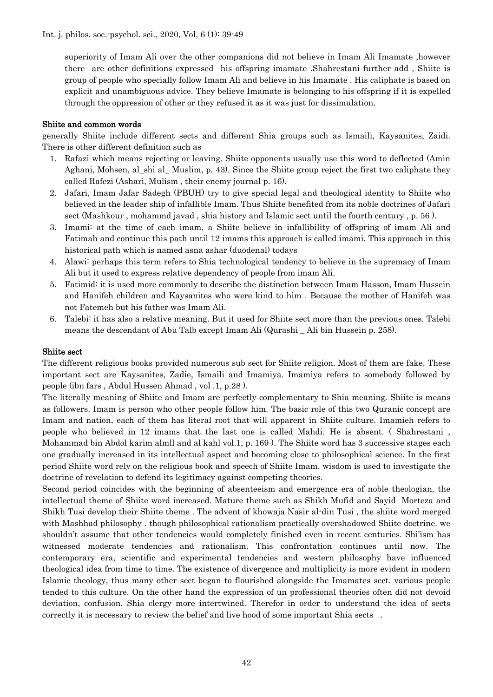Int. j. philos. soc.-psychol. sci., 2020, Vol, 6 (1): 39-49

superiority of Imam Ali over the other companions did not believe in Imam Ali Imamate ,however there are other definitions expressed his offspring imamate .Shahrestani further add , Shiite is group of people who specially follow Imam Ali and believe in his Imamate . His caliphate is based on explicit and unambiguous advice. They believe Imamate is belonging to his offspring if it is expelled through the oppression of other or they refused it as it was just for dissimulation.

## Shiite and common words

generally Shiite include different sects and different Shia groups such as Ismaili, Kaysanites, Zaidi. There is other different definition such as

- 1. Rafazi which means rejecting or leaving. Shiite opponents usually use this word to deflected (Amin Aghani, Mohsen, al shi al Muslim, p. 43). Since the Shiite group reject the first two caliphate they called Rafezi (Ashari, Mulism , their enemy journal p. 16).
- 2. Jafari, Imam Jafar Sadegh (PBUH) try to give special legal and theological identity to Shiite who believed in the leader ship of infallible Imam. Thus Shiite benefited from its noble doctrines of Jafari sect (Mashkour , mohammd javad , shia history and Islamic sect until the fourth century , p. 56 ).
- 3. Imami: at the time of each imam, a Shiite believe in infallibility of offspring of imam Ali and Fatimah and continue this path until 12 imams this approach is called imami. This approach in this historical path which is named asna ashar (duodenal) todays
- 4. Alawi: perhaps this term refers to Shia technological tendency to believe in the supremacy of Imam Ali but it used to express relative dependency of people from imam Ali.
- 5. Fatimid: it is used more commonly to describe the distinction between Imam Hasson, Imam Hussein and Hanifeh children and Kaysanites who were kind to him . Because the mother of Hanifeh was not Fatemeh but his father was Imam Ali.
- 6. Talebi: it has also a relative meaning. But it used for Shiite sect more than the previous ones. Talebi means the descendant of Abu Talb except Imam Ali (Qurashi \_ Ali bin Hussein p. 258).

#### Shiite sect

The different religious books provided numerous sub sect for Shiite religion. Most of them are fake. These important sect are Kaysanites, Zadie, Ismaili and Imamiya. Imamiya refers to somebody followed by people (ibn fars , Abdul Hussen Ahmad , vol .1, p.28 ).

The literally meaning of Shiite and Imam are perfectly complementary to Shia meaning. Shiite is means as followers. Imam is person who other people follow him. The basic role of this two Quranic concept are Imam and nation, each of them has literal root that will apparent in Shiite culture. Imamieh refers to people who believed in 12 imams that the last one is called Mahdi. He is absent. ( Shahrestani , Mohammad bin Abdol karim almll and al kahl vol.1, p. 169 ). The Shiite word has 3 successive stages each one gradually increased in its intellectual aspect and becoming close to philosophical science. In the first period Shiite word rely on the religious book and speech of Shiite Imam. wisdom is used to investigate the doctrine of revelation to defend its legitimacy against competing theories.

Second period coincides with the beginning of absenteeism and emergence era of noble theologian, the intellectual theme of Shiite word increased. Mature theme such as Shikh Mufid and Sayid Morteza and Shikh Tusi develop their Shiite theme . The advent of khowaja Nasir al-din Tusi , the shiite word merged with Mashhad philosophy . though philosophical rationalism practically overshadowed Shiite doctrine. we shouldn't assume that other tendencies would completely finished even in recent centuries. Shi'ism has witnessed moderate tendencies and rationalism. This confrontation continues until now. The contemporary era, scientific and experimental tendencies and western philosophy have influenced theological idea from time to time. The existence of divergence and multiplicity is more evident in modern Islamic theology, thus many other sect began to flourished alongside the Imamates sect. various people tended to this culture. On the other hand the expression of un professional theories often did not devoid deviation, confusion. Shia clergy more intertwined. Therefor in order to understand the idea of sects correctly it is necessary to review the belief and live hood of some important Shia sects .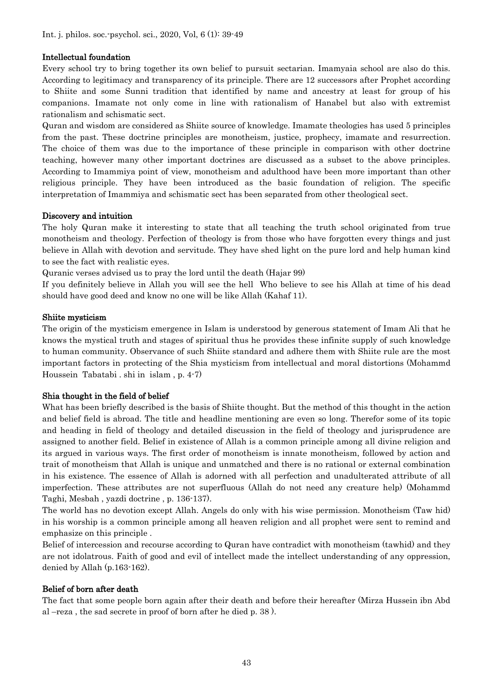## Intellectual foundation

Every school try to bring together its own belief to pursuit sectarian. Imamyaia school are also do this. According to legitimacy and transparency of its principle. There are 12 successors after Prophet according to Shiite and some Sunni tradition that identified by name and ancestry at least for group of his companions. Imamate not only come in line with rationalism of Hanabel but also with extremist rationalism and schismatic sect.

Quran and wisdom are considered as Shiite source of knowledge. Imamate theologies has used 5 principles from the past. These doctrine principles are monotheism, justice, prophecy, imamate and resurrection. The choice of them was due to the importance of these principle in comparison with other doctrine teaching, however many other important doctrines are discussed as a subset to the above principles. According to Imammiya point of view, monotheism and adulthood have been more important than other religious principle. They have been introduced as the basic foundation of religion. The specific interpretation of Imammiya and schismatic sect has been separated from other theological sect.

## Discovery and intuition

The holy Quran make it interesting to state that all teaching the truth school originated from true monotheism and theology. Perfection of theology is from those who have forgotten every things and just believe in Allah with devotion and servitude. They have shed light on the pure lord and help human kind to see the fact with realistic eyes.

Quranic verses advised us to pray the lord until the death (Hajar 99)

If you definitely believe in Allah you will see the hell Who believe to see his Allah at time of his dead should have good deed and know no one will be like Allah (Kahaf 11).

## Shiite mysticism

The origin of the mysticism emergence in Islam is understood by generous statement of Imam Ali that he knows the mystical truth and stages of spiritual thus he provides these infinite supply of such knowledge to human community. Observance of such Shiite standard and adhere them with Shiite rule are the most important factors in protecting of the Shia mysticism from intellectual and moral distortions (Mohammd Houssein Tabatabi . shi in islam , p. 4-7)

## Shia thought in the field of belief

What has been briefly described is the basis of Shiite thought. But the method of this thought in the action and belief field is abroad. The title and headline mentioning are even so long. Therefor some of its topic and heading in field of theology and detailed discussion in the field of theology and jurisprudence are assigned to another field. Belief in existence of Allah is a common principle among all divine religion and its argued in various ways. The first order of monotheism is innate monotheism, followed by action and trait of monotheism that Allah is unique and unmatched and there is no rational or external combination in his existence. The essence of Allah is adorned with all perfection and unadulterated attribute of all imperfection. These attributes are not superfluous (Allah do not need any creature help) (Mohammd Taghi, Mesbah , yazdi doctrine , p. 136-137).

The world has no devotion except Allah. Angels do only with his wise permission. Monotheism (Taw hid) in his worship is a common principle among all heaven religion and all prophet were sent to remind and emphasize on this principle .

Belief of intercession and recourse according to Quran have contradict with monotheism (tawhid) and they are not idolatrous. Faith of good and evil of intellect made the intellect understanding of any oppression, denied by Allah (p.163-162).

# Belief of born after death

The fact that some people born again after their death and before their hereafter (Mirza Hussein ibn Abd al –reza , the sad secrete in proof of born after he died p. 38 ).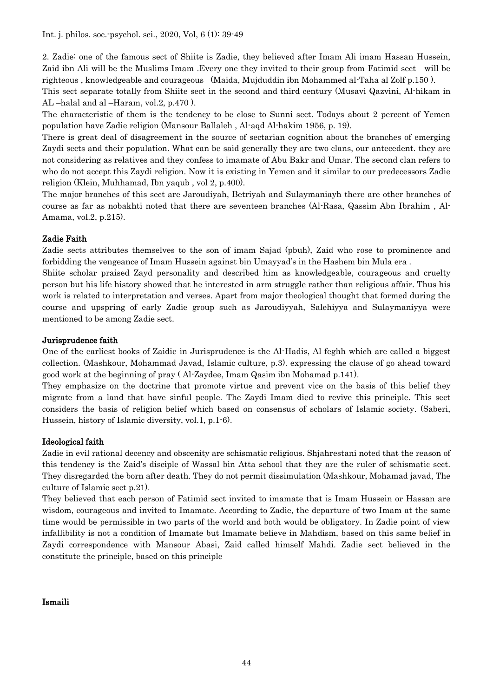Int. j. philos. soc.-psychol. sci., 2020, Vol, 6 (1): 39-49

2. Zadie: one of the famous sect of Shiite is Zadie, they believed after Imam Ali imam Hassan Hussein, Zaid ibn Ali will be the Muslims Imam .Every one they invited to their group from Fatimid sect will be righteous , knowledgeable and courageous (Maida, Mujduddin ibn Mohammed al-Taha al Zolf p.150 ).

This sect separate totally from Shiite sect in the second and third century (Musavi Qazvini, Al-hikam in AL –halal and al –Haram, vol.2, p.470 ).

The characteristic of them is the tendency to be close to Sunni sect. Todays about 2 percent of Yemen population have Zadie religion (Mansour Ballaleh , Al-aqd Al-hakim 1956, p. 19).

There is great deal of disagreement in the source of sectarian cognition about the branches of emerging Zaydi sects and their population. What can be said generally they are two clans, our antecedent. they are not considering as relatives and they confess to imamate of Abu Bakr and Umar. The second clan refers to who do not accept this Zaydi religion. Now it is existing in Yemen and it similar to our predecessors Zadie religion (Klein, Muhhamad, Ibn yaqub , vol 2, p.400).

The major branches of this sect are Jaroudiyah, Betriyah and Sulaymaniayh there are other branches of course as far as nobakhti noted that there are seventeen branches (Al-Rasa, Qassim Abn Ibrahim , Al-Amama, vol.2, p.215).

# Zadie Faith

Zadie sects attributes themselves to the son of imam Sajad (pbuh), Zaid who rose to prominence and forbidding the vengeance of Imam Hussein against bin Umayyad's in the Hashem bin Mula era .

Shiite scholar praised Zayd personality and described him as knowledgeable, courageous and cruelty person but his life history showed that he interested in arm struggle rather than religious affair. Thus his work is related to interpretation and verses. Apart from major theological thought that formed during the course and upspring of early Zadie group such as Jaroudiyyah, Salehiyya and Sulaymaniyya were mentioned to be among Zadie sect.

## Jurisprudence faith

One of the earliest books of Zaidie in Jurisprudence is the Al-Hadis, Al feghh which are called a biggest collection. (Mashkour, Mohammad Javad, Islamic culture, p.3). expressing the clause of go ahead toward good work at the beginning of pray ( Al-Zaydee, Imam Qasim ibn Mohamad p.141).

They emphasize on the doctrine that promote virtue and prevent vice on the basis of this belief they migrate from a land that have sinful people. The Zaydi Imam died to revive this principle. This sect considers the basis of religion belief which based on consensus of scholars of Islamic society. (Saberi, Hussein, history of Islamic diversity, vol.1, p.1-6).

## Ideological faith

Zadie in evil rational decency and obscenity are schismatic religious. Shjahrestani noted that the reason of this tendency is the Zaid's disciple of Wassal bin Atta school that they are the ruler of schismatic sect. They disregarded the born after death. They do not permit dissimulation (Mashkour, Mohamad javad, The culture of Islamic sect p.21).

They believed that each person of Fatimid sect invited to imamate that is Imam Hussein or Hassan are wisdom, courageous and invited to Imamate. According to Zadie, the departure of two Imam at the same time would be permissible in two parts of the world and both would be obligatory. In Zadie point of view infallibility is not a condition of Imamate but Imamate believe in Mahdism, based on this same belief in Zaydi correspondence with Mansour Abasi, Zaid called himself Mahdi. Zadie sect believed in the constitute the principle, based on this principle

## Ismaili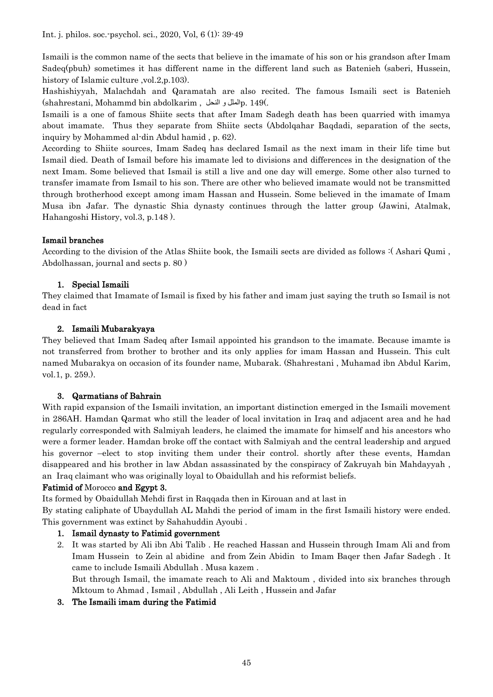Ismaili is the common name of the sects that believe in the imamate of his son or his grandson after Imam Sadeq(pbuh) sometimes it has different name in the different land such as Batenieh (saberi, Hussein, history of Islamic culture ,vol.2, p.103).

Hashishiyyah, Malachdah and Qaramatah are also recited. The famous Ismaili sect is Batenieh (shahrestani, Mohammd bin abdolkarim , النحل و المللp. 149(.

Ismaili is a one of famous Shiite sects that after Imam Sadegh death has been quarried with imamya about imamate. Thus they separate from Shiite sects (Abdolqahar Baqdadi, separation of the sects, inquiry by Mohammed al-din Abdul hamid , p. 62).

According to Shiite sources, Imam Sadeq has declared Ismail as the next imam in their life time but Ismail died. Death of Ismail before his imamate led to divisions and differences in the designation of the next Imam. Some believed that Ismail is still a live and one day will emerge. Some other also turned to transfer imamate from Ismail to his son. There are other who believed imamate would not be transmitted through brotherhood except among imam Hassan and Hussein. Some believed in the imamate of Imam Musa ibn Jafar. The dynastic Shia dynasty continues through the latter group (Jawini, Atalmak, Hahangoshi History, vol.3, p.148 ).

# Ismail branches

According to the division of the Atlas Shiite book, the Ismaili sects are divided as follows :( Ashari Qumi , Abdolhassan, journal and sects p. 80 )

# 1. Special Ismaili

They claimed that Imamate of Ismail is fixed by his father and imam just saying the truth so Ismail is not dead in fact

# 2. Ismaili Mubarakyaya

They believed that Imam Sadeq after Ismail appointed his grandson to the imamate. Because imamte is not transferred from brother to brother and its only applies for imam Hassan and Hussein. This cult named Mubarakya on occasion of its founder name, Mubarak. (Shahrestani , Muhamad ibn Abdul Karim, vol.1, p. 259.).

# 3. Qarmatians of Bahrain

With rapid expansion of the Ismaili invitation, an important distinction emerged in the Ismaili movement in 286AH. Hamdan Qarmat who still the leader of local invitation in Iraq and adjacent area and he had regularly corresponded with Salmiyah leaders, he claimed the imamate for himself and his ancestors who were a former leader. Hamdan broke off the contact with Salmiyah and the central leadership and argued his governor –elect to stop inviting them under their control. shortly after these events, Hamdan disappeared and his brother in law Abdan assassinated by the conspiracy of Zakruyah bin Mahdayyah , an Iraq claimant who was originally loyal to Obaidullah and his reformist beliefs.

# Fatimid of Morocco and Egypt 3.

Its formed by Obaidullah Mehdi first in Raqqada then in Kirouan and at last in

By stating caliphate of Ubaydullah AL Mahdi the period of imam in the first Ismaili history were ended. This government was extinct by Sahahuddin Ayoubi .

# 1. Ismail dynasty to Fatimid government

2. It was started by Ali ibn Abi Talib . He reached Hassan and Hussein through Imam Ali and from Imam Hussein to Zein al abidine and from Zein Abidin to Imam Baqer then Jafar Sadegh . It came to include Ismaili Abdullah . Musa kazem .

But through Ismail, the imamate reach to Ali and Maktoum , divided into six branches through Mktoum to Ahmad , Ismail , Abdullah , Ali Leith , Hussein and Jafar

# 3. The Ismaili imam during the Fatimid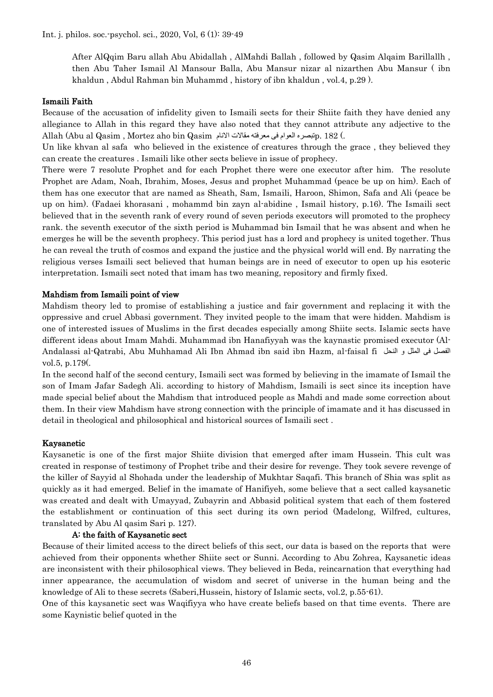Int. j. philos. soc.-psychol. sci., 2020, Vol, 6 (1): 39-49

After AlQqim Baru allah Abu Abidallah , AlMahdi Ballah , followed by Qasim Alqaim Barillallh , then Abu Taher Ismail Al Mansour Balla, Abu Mansur nizar al nizarthen Abu Mansur ( ibn khaldun , Abdul Rahman bin Muhammd , history of ibn khaldun , vol.4, p.29 ).

#### Ismaili Faith

Because of the accusation of infidelity given to Ismaili sects for their Shiite faith they have denied any allegiance to Allah in this regard they have also noted that they cannot attribute any adjective to the Allah (Abu al Qasim , Mortez aho bin Qasim النام معرفته مقالات الانام مقالات الانام

Un like khvan al safa who believed in the existence of creatures through the grace , they believed they can create the creatures . Ismaili like other sects believe in issue of prophecy.

There were 7 resolute Prophet and for each Prophet there were one executor after him. The resolute Prophet are Adam, Noah, Ibrahim, Moses, Jesus and prophet Muhammad (peace be up on him). Each of them has one executor that are named as Sheath, Sam, Ismaili, Haroon, Shimon, Safa and Ali (peace be up on him). (Fadaei khorasani , mohammd bin zayn al-abidine , Ismail history, p.16). The Ismaili sect believed that in the seventh rank of every round of seven periods executors will promoted to the prophecy rank. the seventh executor of the sixth period is Muhammad bin Ismail that he was absent and when he emerges he will be the seventh prophecy. This period just has a lord and prophecy is united together. Thus he can reveal the truth of cosmos and expand the justice and the physical world will end. By narrating the religious verses Ismaili sect believed that human beings are in need of executor to open up his esoteric interpretation. Ismaili sect noted that imam has two meaning, repository and firmly fixed.

#### Mahdism from Ismaili point of view

Mahdism theory led to promise of establishing a justice and fair government and replacing it with the oppressive and cruel Abbasi government. They invited people to the imam that were hidden. Mahdism is one of interested issues of Muslims in the first decades especially among Shiite sects. Islamic sects have different ideas about Imam Mahdi. Muhammad ibn Hanafiyyah was the kaynastic promised executor (Al-Andalassi al-Qatrabi, Abu Muhhamad Ali Ibn Ahmad ibn said ibn Hazm, al-faisal fi النحل و الملل فی الفصل vol.5, p.179(.

In the second half of the second century, Ismaili sect was formed by believing in the imamate of Ismail the son of Imam Jafar Sadegh Ali. according to history of Mahdism, Ismaili is sect since its inception have made special belief about the Mahdism that introduced people as Mahdi and made some correction about them. In their view Mahdism have strong connection with the principle of imamate and it has discussed in detail in theological and philosophical and historical sources of Ismaili sect .

#### Kaysanetic

Kaysanetic is one of the first major Shiite division that emerged after imam Hussein. This cult was created in response of testimony of Prophet tribe and their desire for revenge. They took severe revenge of the killer of Sayyid al Shohada under the leadership of Mukhtar Saqafi. This branch of Shia was split as quickly as it had emerged. Belief in the imamate of Hanifiyeh, some believe that a sect called kaysanetic was created and dealt with Umayyad, Zubayrin and Abbasid political system that each of them fostered the establishment or continuation of this sect during its own period (Madelong, Wilfred, cultures, translated by Abu Al qasim Sari p. 127).

#### A: the faith of Kaysanetic sect

Because of their limited access to the direct beliefs of this sect, our data is based on the reports that were achieved from their opponents whether Shiite sect or Sunni. According to Abu Zohrea, Kaysanetic ideas are inconsistent with their philosophical views. They believed in Beda, reincarnation that everything had inner appearance, the accumulation of wisdom and secret of universe in the human being and the knowledge of Ali to these secrets (Saberi,Hussein, history of Islamic sects, vol.2, p.55-61).

One of this kaysanetic sect was Waqifiyya who have create beliefs based on that time events. There are some Kaynistic belief quoted in the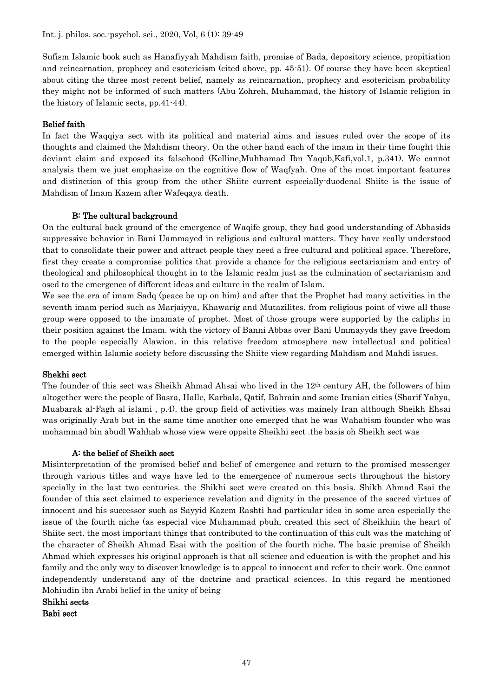Sufism Islamic book such as Hanafiyyah Mahdism faith, promise of Bada, depository science, propitiation and reincarnation, prophecy and esotericism (cited above, pp. 45-51). Of course they have been skeptical about citing the three most recent belief, namely as reincarnation, prophecy and esotericism probability they might not be informed of such matters (Abu Zohreh, Muhammad, the history of Islamic religion in the history of Islamic sects, pp.41-44).

## Belief faith

In fact the Waqqiya sect with its political and material aims and issues ruled over the scope of its thoughts and claimed the Mahdism theory. On the other hand each of the imam in their time fought this deviant claim and exposed its falsehood (Kelline,Muhhamad Ibn Yaqub,Kafi,vol.1, p.341). We cannot analysis them we just emphasize on the cognitive flow of Waqfyah. One of the most important features and distinction of this group from the other Shiite current especially-duodenal Shiite is the issue of Mahdism of Imam Kazem after Wafeqaya death.

## B: The cultural background

On the cultural back ground of the emergence of Waqife group, they had good understanding of Abbasids suppressive behavior in Bani Uammayed in religious and cultural matters. They have really understood that to consolidate their power and attract people they need a free cultural and political space. Therefore, first they create a compromise politics that provide a chance for the religious sectarianism and entry of theological and philosophical thought in to the Islamic realm just as the culmination of sectarianism and osed to the emergence of different ideas and culture in the realm of Islam.

We see the era of imam Sadq (peace be up on him) and after that the Prophet had many activities in the seventh imam period such as Marjaiyya, Khawarig and Mutazilites. from religious point of viwe all those group were opposed to the imamate of prophet. Most of those groups were supported by the caliphs in their position against the Imam. with the victory of Banni Abbas over Bani Ummayyds they gave freedom to the people especially Alawion. in this relative freedom atmosphere new intellectual and political emerged within Islamic society before discussing the Shiite view regarding Mahdism and Mahdi issues.

## Shekhi sect

The founder of this sect was Sheikh Ahmad Ahsai who lived in the 12th century AH, the followers of him altogether were the people of Basra, Halle, Karbala, Qatif, Bahrain and some Iranian cities (Sharif Yahya, Muabarak al-Fagh al islami , p.4). the group field of activities was mainely Iran although Sheikh Ehsai was originally Arab but in the same time another one emerged that he was Wahabism founder who was mohammad bin abudl Wahhab whose view were oppsite Sheikhi sect .the basis oh Sheikh sect was

## A: the belief of Sheikh sect

Misinterpretation of the promised belief and belief of emergence and return to the promised messenger through various titles and ways have led to the emergence of numerous sects throughout the history specially in the last two centuries. the Shikhi sect were created on this basis. Shikh Ahmad Esai the founder of this sect claimed to experience revelation and dignity in the presence of the sacred virtues of innocent and his successor such as Sayyid Kazem Rashti had particular idea in some area especially the issue of the fourth niche (as especial vice Muhammad pbuh, created this sect of Sheikhiin the heart of Shiite sect. the most important things that contributed to the continuation of this cult was the matching of the character of Sheikh Ahmad Esai with the position of the fourth niche. The basic premise of Sheikh Ahmad which expresses his original approach is that all science and education is with the prophet and his family and the only way to discover knowledge is to appeal to innocent and refer to their work. One cannot independently understand any of the doctrine and practical sciences. In this regard he mentioned Mohiudin ibn Arabi belief in the unity of being

Shikhi sects

Babi sect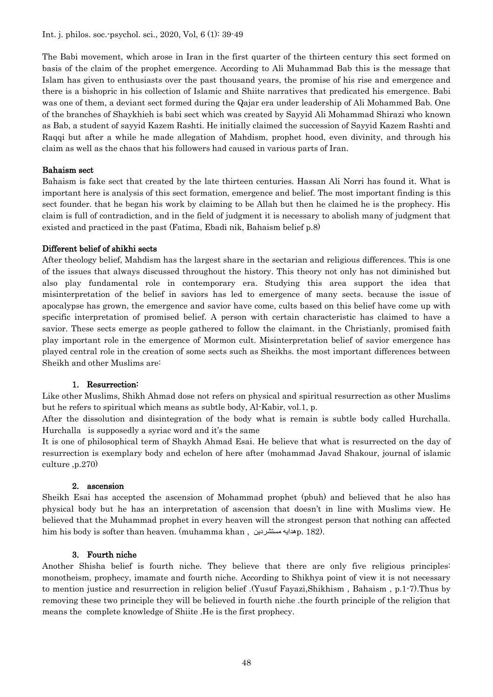The Babi movement, which arose in Iran in the first quarter of the thirteen century this sect formed on basis of the claim of the prophet emergence. According to Ali Muhammad Bab this is the message that Islam has given to enthusiasts over the past thousand years, the promise of his rise and emergence and there is a bishopric in his collection of Islamic and Shiite narratives that predicated his emergence. Babi was one of them, a deviant sect formed during the Qajar era under leadership of Ali Mohammed Bab. One of the branches of Shaykhieh is babi sect which was created by Sayyid Ali Mohammad Shirazi who known as Bab, a student of sayyid Kazem Rashti. He initially claimed the succession of Sayyid Kazem Rashti and Raqqi but after a while he made allegation of Mahdism, prophet hood, even divinity, and through his claim as well as the chaos that his followers had caused in various parts of Iran.

## Bahaism sect

Bahaism is fake sect that created by the late thirteen centuries. Hassan Ali Norri has found it. What is important here is analysis of this sect formation, emergence and belief. The most important finding is this sect founder. that he began his work by claiming to be Allah but then he claimed he is the prophecy. His claim is full of contradiction, and in the field of judgment it is necessary to abolish many of judgment that existed and practiced in the past (Fatima, Ebadi nik, Bahaism belief p.8)

## Different belief of shikhi sects

After theology belief, Mahdism has the largest share in the sectarian and religious differences. This is one of the issues that always discussed throughout the history. This theory not only has not diminished but also play fundamental role in contemporary era. Studying this area support the idea that misinterpretation of the belief in saviors has led to emergence of many sects. because the issue of apocalypse has grown, the emergence and savior have come, cults based on this belief have come up with specific interpretation of promised belief. A person with certain characteristic has claimed to have a savior. These sects emerge as people gathered to follow the claimant. in the Christianly, promised faith play important role in the emergence of Mormon cult. Misinterpretation belief of savior emergence has played central role in the creation of some sects such as Sheikhs. the most important differences between Sheikh and other Muslims are:

## 1. Resurrection:

Like other Muslims, Shikh Ahmad dose not refers on physical and spiritual resurrection as other Muslims but he refers to spiritual which means as subtle body, Al-Kabir, vol.1, p.

After the dissolution and disintegration of the body what is remain is subtle body called Hurchalla. Hurchalla is supposedly a syriac word and it's the same

It is one of philosophical term of Shaykh Ahmad Esai. He believe that what is resurrected on the day of resurrection is exemplary body and echelon of here after (mohammad Javad Shakour, journal of islamic culture ,p.270)

## 2. ascension

Sheikh Esai has accepted the ascension of Mohammad prophet (pbuh) and believed that he also has physical body but he has an interpretation of ascension that doesn't in line with Muslims view. He believed that the Muhammad prophet in every heaven will the strongest person that nothing can affected him his body is softer than heaven. (muhamma khan , مستشردین هدایهp. 182).

## 3. Fourth niche

Another Shisha belief is fourth niche. They believe that there are only five religious principles: monotheism, prophecy, imamate and fourth niche. According to Shikhya point of view it is not necessary to mention justice and resurrection in religion belief .(Yusuf Fayazi,Shikhism , Bahaism , p.1-7).Thus by removing these two principle they will be believed in fourth niche .the fourth principle of the religion that means the complete knowledge of Shiite .He is the first prophecy.